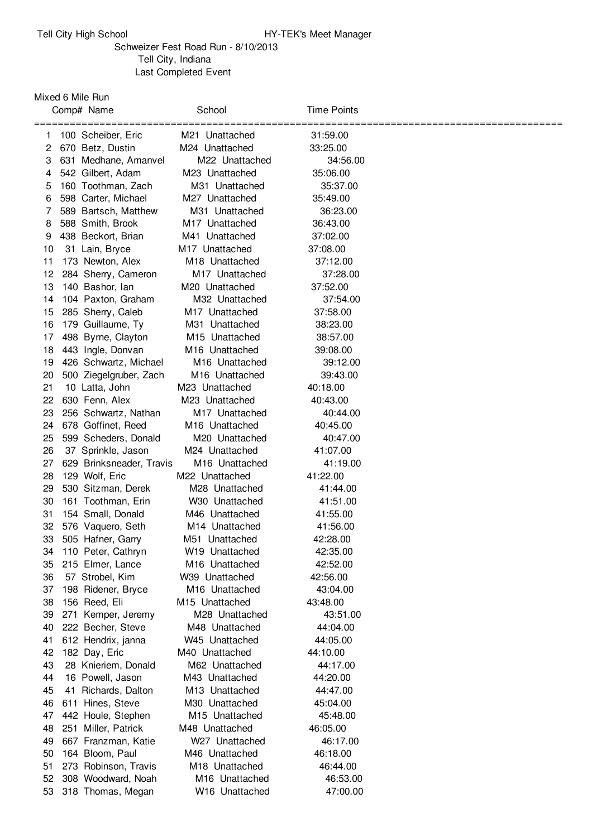## Schweizer Fest Road Run - 8/10/2013 Tell City, Indiana Last Completed Event

Mixed 6 Mile Run

|          | Comp# Name |                                     | School                                       | <b>Time Points</b>   |  |
|----------|------------|-------------------------------------|----------------------------------------------|----------------------|--|
| 1.       |            | 100 Scheiber, Eric                  | M21 Unattached                               | 31:59.00             |  |
| 2        |            | 670 Betz, Dustin                    | M24 Unattached                               | 33:25.00             |  |
| 3        |            | 631 Medhane, Amanvel                | M22 Unattached                               | 34:56.00             |  |
| 4        |            | 542 Gilbert, Adam                   | M23 Unattached                               | 35:06.00             |  |
| 5        |            | 160 Toothman, Zach                  | M31 Unattached                               | 35:37.00             |  |
| 6        |            | 598 Carter, Michael                 | M27 Unattached                               | 35:49.00             |  |
| 7        |            | 589 Bartsch, Matthew                | M31 Unattached                               | 36:23.00             |  |
| 8        |            | 588 Smith, Brook                    | M <sub>17</sub> Unattached                   | 36:43.00             |  |
| 9        |            | 438 Beckort, Brian                  | M41 Unattached                               | 37:02.00             |  |
| 10       |            | 31 Lain, Bryce                      | M <sub>17</sub> Unattached                   | 37:08.00             |  |
| 11       |            | 173 Newton, Alex                    | M <sub>18</sub> Unattached                   | 37:12.00             |  |
| 12       |            | 284 Sherry, Cameron                 | M <sub>17</sub> Unattached                   | 37:28.00             |  |
| 13       |            | 140 Bashor, lan                     | M <sub>20</sub> Unattached                   | 37:52.00             |  |
| 14       |            | 104 Paxton, Graham                  | M32 Unattached                               | 37:54.00             |  |
| 15       |            | 285 Sherry, Caleb                   | M <sub>17</sub> Unattached                   | 37:58.00             |  |
| 16       |            | 179 Guillaume, Ty                   | M31 Unattached                               | 38:23.00             |  |
| 17       |            | 498 Byrne, Clayton                  | M <sub>15</sub> Unattached                   | 38:57.00             |  |
| 18       |            | 443 Ingle, Donvan                   | M16 Unattached                               | 39:08.00             |  |
| 19       |            | 426 Schwartz, Michael               | M <sub>16</sub> Unattached                   | 39:12.00             |  |
| 20       |            | 500 Ziegelgruber, Zach              | M <sub>16</sub> Unattached                   | 39:43.00             |  |
| 21       |            | 10 Latta, John                      | M23 Unattached                               | 40:18.00             |  |
| 22       |            | 630 Fenn, Alex                      | M23 Unattached                               | 40:43.00             |  |
| 23       |            | 256 Schwartz, Nathan                | M <sub>17</sub> Unattached                   | 40:44.00             |  |
| 24       |            | 678 Goffinet, Reed                  | M16 Unattached                               | 40:45.00             |  |
| 25       |            | 599 Scheders, Donald                | M20 Unattached                               | 40:47.00             |  |
| 26       |            | 37 Sprinkle, Jason                  | M24 Unattached                               | 41:07.00             |  |
| 27       |            | 629 Brinksneader, Travis            | M <sub>16</sub> Unattached                   | 41:19.00             |  |
| 28       |            | 129 Wolf, Eric                      | M22 Unattached                               | 41:22.00             |  |
| 29       |            | 530 Sitzman, Derek                  | M <sub>28</sub> Unattached                   | 41:44.00             |  |
| 30       |            | 161 Toothman, Erin                  | W30 Unattached                               | 41:51.00             |  |
| 31       |            | 154 Small, Donald                   | M46 Unattached                               | 41:55.00             |  |
| 32       |            | 576 Vaquero, Seth                   | M <sub>14</sub> Unattached                   | 41:56.00             |  |
| 33       |            | 505 Hafner, Garry                   | M51 Unattached                               | 42:28.00             |  |
| 34       |            | 110 Peter, Cathryn                  | W19 Unattached                               | 42:35.00             |  |
| 35       |            | 215 Elmer, Lance                    | M <sub>16</sub> Unattached                   | 42:52.00             |  |
| 36       |            | 57 Strobel, Kim                     | W39 Unattached                               | 42:56.00             |  |
| 37<br>38 |            | 198 Ridener, Bryce                  | M <sub>16</sub> Unattached<br>M15 Unattached | 43:04.00<br>43:48.00 |  |
| 39       |            | 156 Reed, Eli<br>271 Kemper, Jeremy | M28 Unattached                               | 43:51.00             |  |
| 40       |            | 222 Becher, Steve                   | M48 Unattached                               | 44:04.00             |  |
| 41       |            | 612 Hendrix, janna                  | W45 Unattached                               | 44:05.00             |  |
| 42       |            | 182 Day, Eric                       | M40 Unattached                               | 44:10.00             |  |
| 43       |            | 28 Knieriem, Donald                 | M62 Unattached                               | 44:17.00             |  |
| 44       |            | 16 Powell, Jason                    | M43 Unattached                               | 44:20.00             |  |
| 45       | 41         | Richards, Dalton                    | M <sub>13</sub> Unattached                   | 44:47.00             |  |
| 46       | 611        | Hines, Steve                        | M30 Unattached                               | 45:04.00             |  |
| 47       |            | 442 Houle, Stephen                  | M <sub>15</sub> Unattached                   | 45:48.00             |  |
| 48       |            | 251 Miller, Patrick                 | M48 Unattached                               | 46:05.00             |  |
| 49       |            | 667 Franzman, Katie                 | W27 Unattached                               | 46:17.00             |  |
| 50       |            | 164 Bloom, Paul                     | M46 Unattached                               | 46:18.00             |  |
| 51       |            | 273 Robinson, Travis                | M18 Unattached                               | 46:44.00             |  |
| 52       |            | 308 Woodward, Noah                  | M16 Unattached                               | 46:53.00             |  |
| 53       |            | 318 Thomas, Megan                   | W16 Unattached                               | 47:00.00             |  |
|          |            |                                     |                                              |                      |  |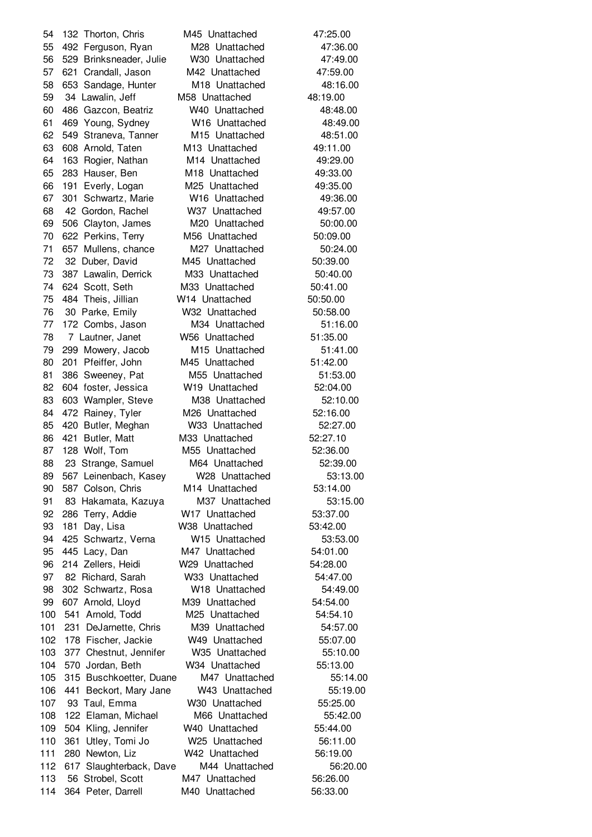132 Thorton, Chris M45 Unattached 47:25.00 492 Ferguson, Ryan M28 Unattached 47:36.00 529 Brinksneader, Julie W30 Unattached 47:49.00 621 Crandall, Jason M42 Unattached 47:59.00 653 Sandage, Hunter M18 Unattached 48:16.00 34 Lawalin, Jeff M58 Unattached 48:19.00 486 Gazcon, Beatriz W40 Unattached 48:48.00 469 Young, Sydney W16 Unattached 48:49.00 549 Straneva, Tanner M15 Unattached 48:51.00 608 Arnold, Taten M13 Unattached 49:11.00 163 Rogier, Nathan M14 Unattached 49:29.00 283 Hauser, Ben M18 Unattached 49:33.00 191 Everly, Logan M25 Unattached 49:35.00 301 Schwartz, Marie W16 Unattached 49:36.00 42 Gordon, Rachel W37 Unattached 49:57.00 506 Clayton, James M20 Unattached 50:00.00 622 Perkins, Terry M56 Unattached 50:09.00 71 657 Mullens, chance M27 Unattached 50:24.00 32 Duber, David M45 Unattached 50:39.00 387 Lawalin, Derrick M33 Unattached 50:40.00 624 Scott, Seth M33 Unattached 50:41.00 484 Theis, Jillian W14 Unattached 50:50.00 30 Parke, Emily W32 Unattached 50:58.00 172 Combs, Jason M34 Unattached 51:16.00 7 Lautner, Janet W56 Unattached 51:35.00 299 Mowery, Jacob M15 Unattached 51:41.00 80 201 Pfeiffer, John M45 Unattached 51:42.00 81 386 Sweeney, Pat M55 Unattached 51:53.00 604 foster, Jessica W19 Unattached 52:04.00 603 Wampler, Steve M38 Unattached 52:10.00 84 472 Rainey, Tyler M26 Unattached 52:16.00 420 Butler, Meghan W33 Unattached 52:27.00 421 Butler, Matt M33 Unattached 52:27.10 128 Wolf, Tom M55 Unattached 52:36.00 23 Strange, Samuel M64 Unattached 52:39.00 567 Leinenbach, Kasey W28 Unattached 53:13.00 587 Colson, Chris M14 Unattached 53:14.00 83 Hakamata, Kazuya M37 Unattached 53:15.00 286 Terry, Addie W17 Unattached 53:37.00 181 Day, Lisa W38 Unattached 53:42.00 425 Schwartz, Verna W15 Unattached 53:53.00 445 Lacy, Dan M47 Unattached 54:01.00 214 Zellers, Heidi W29 Unattached 54:28.00 82 Richard, Sarah W33 Unattached 54:47.00 302 Schwartz, Rosa W18 Unattached 54:49.00 607 Arnold, Lloyd M39 Unattached 54:54.00 541 Arnold, Todd M25 Unattached 54:54.10 101 231 DeJarnette, Chris M39 Unattached 54:57.00 178 Fischer, Jackie W49 Unattached 55:07.00 103 377 Chestnut, Jennifer W35 Unattached 55:10.00 570 Jordan, Beth W34 Unattached 55:13.00 315 Buschkoetter, Duane M47 Unattached 55:14.00 441 Beckort, Mary Jane W43 Unattached 55:19.00 93 Taul, Emma W30 Unattached 55:25.00 122 Elaman, Michael M66 Unattached 55:42.00 504 Kling, Jennifer W40 Unattached 55:44.00 361 Utley, Tomi Jo W25 Unattached 56:11.00 280 Newton, Liz W42 Unattached 56:19.00 617 Slaughterback, Dave M44 Unattached 56:20.00 56 Strobel, Scott M47 Unattached 56:26.00 364 Peter, Darrell M40 Unattached 56:33.00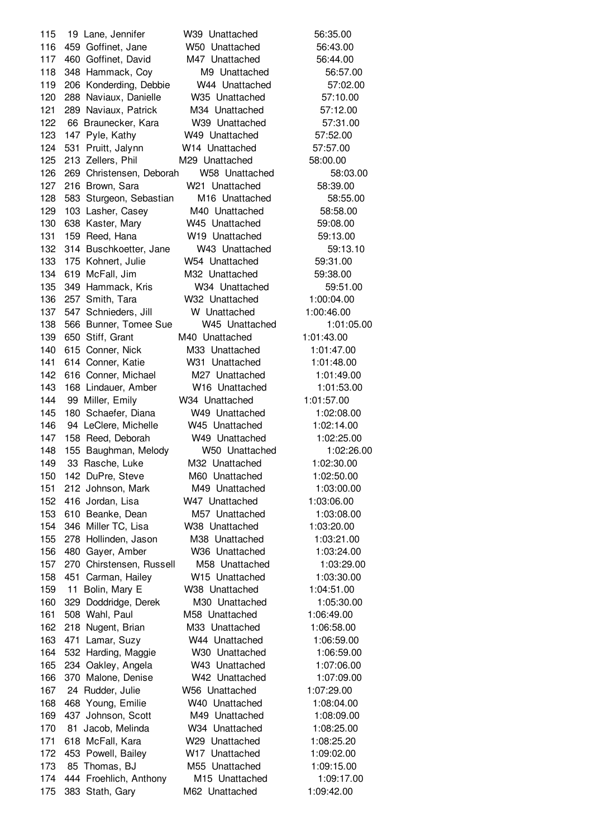19 Lane, Jennifer W39 Unattached 56:35.00 459 Goffinet, Jane W50 Unattached 56:43.00 460 Goffinet, David M47 Unattached 56:44.00 348 Hammack, Coy M9 Unattached 56:57.00 206 Konderding, Debbie W44 Unattached 57:02.00 288 Naviaux, Danielle W35 Unattached 57:10.00 289 Naviaux, Patrick M34 Unattached 57:12.00 66 Braunecker, Kara W39 Unattached 57:31.00 147 Pyle, Kathy W49 Unattached 57:52.00 531 Pruitt, Jalynn W14 Unattached 57:57.00 213 Zellers, Phil M29 Unattached 58:00.00 269 Christensen, Deborah W58 Unattached 58:03.00 216 Brown, Sara W21 Unattached 58:39.00 583 Sturgeon, Sebastian M16 Unattached 58:55.00 103 Lasher, Casey M40 Unattached 58:58.00 638 Kaster, Mary W45 Unattached 59:08.00 159 Reed, Hana W19 Unattached 59:13.00 314 Buschkoetter, Jane W43 Unattached 59:13.10 175 Kohnert, Julie W54 Unattached 59:31.00 619 McFall, Jim M32 Unattached 59:38.00 349 Hammack, Kris W34 Unattached 59:51.00 257 Smith, Tara W32 Unattached 1:00:04.00 547 Schnieders, Jill W Unattached 1:00:46.00 566 Bunner, Tomee Sue W45 Unattached 1:01:05.00 650 Stiff, Grant M40 Unattached 1:01:43.00 615 Conner, Nick M33 Unattached 1:01:47.00 614 Conner, Katie W31 Unattached 1:01:48.00 616 Conner, Michael M27 Unattached 1:01:49.00 168 Lindauer, Amber W16 Unattached 1:01:53.00 99 Miller, Emily W34 Unattached 1:01:57.00 180 Schaefer, Diana W49 Unattached 1:02:08.00 94 LeClere, Michelle W45 Unattached 1:02:14.00 158 Reed, Deborah W49 Unattached 1:02:25.00 155 Baughman, Melody W50 Unattached 1:02:26.00 33 Rasche, Luke M32 Unattached 1:02:30.00 142 DuPre, Steve M60 Unattached 1:02:50.00 212 Johnson, Mark M49 Unattached 1:03:00.00 416 Jordan, Lisa W47 Unattached 1:03:06.00 610 Beanke, Dean M57 Unattached 1:03:08.00 346 Miller TC, Lisa W38 Unattached 1:03:20.00 278 Hollinden, Jason M38 Unattached 1:03:21.00 480 Gayer, Amber W36 Unattached 1:03:24.00 270 Chirstensen, Russell M58 Unattached 1:03:29.00 451 Carman, Hailey W15 Unattached 1:03:30.00 11 Bolin, Mary E W38 Unattached 1:04:51.00 329 Doddridge, Derek M30 Unattached 1:05:30.00 508 Wahl, Paul M58 Unattached 1:06:49.00 218 Nugent, Brian M33 Unattached 1:06:58.00 471 Lamar, Suzy W44 Unattached 1:06:59.00 532 Harding, Maggie W30 Unattached 1:06:59.00 234 Oakley, Angela W43 Unattached 1:07:06.00 370 Malone, Denise W42 Unattached 1:07:09.00 24 Rudder, Julie W56 Unattached 1:07:29.00 468 Young, Emilie W40 Unattached 1:08:04.00 437 Johnson, Scott M49 Unattached 1:08:09.00 81 Jacob, Melinda W34 Unattached 1:08:25.00 618 McFall, Kara W29 Unattached 1:08:25.20 453 Powell, Bailey W17 Unattached 1:09:02.00 85 Thomas, BJ M55 Unattached 1:09:15.00 444 Froehlich, Anthony M15 Unattached 1:09:17.00 383 Stath, Gary M62 Unattached 1:09:42.00